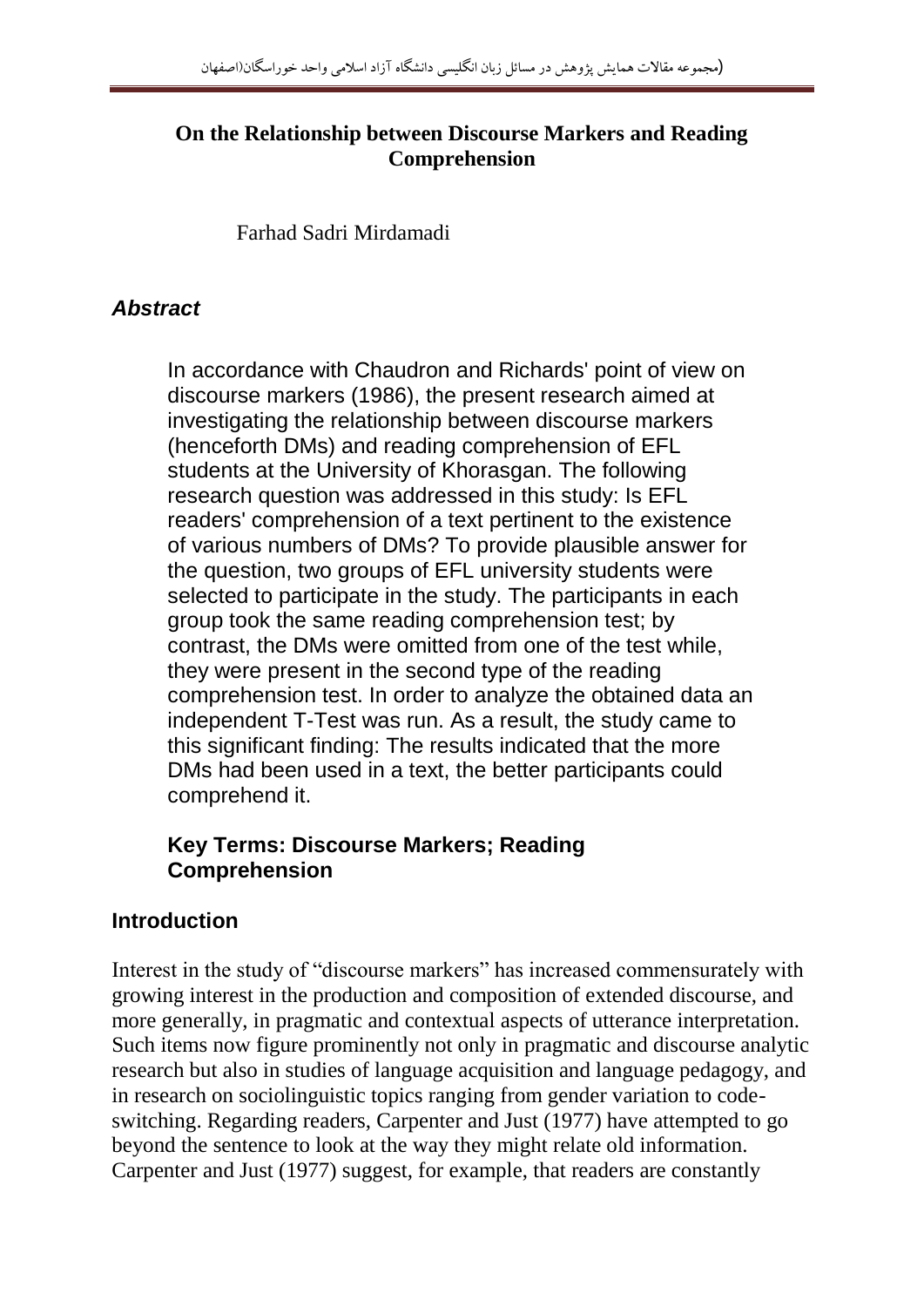### **On the Relationship between Discourse Markers and Reading Comprehension**

Farhad Sadri Mirdamadi

# *Abstract*

In accordance with Chaudron and Richards' point of view on discourse markers (1986), the present research aimed at investigating the relationship between discourse markers (henceforth DMs) and reading comprehension of EFL students at the University of Khorasgan. The following research question was addressed in this study: Is EFL readers' comprehension of a text pertinent to the existence of various numbers of DMs? To provide plausible answer for the question, two groups of EFL university students were selected to participate in the study. The participants in each group took the same reading comprehension test; by contrast, the DMs were omitted from one of the test while, they were present in the second type of the reading comprehension test. In order to analyze the obtained data an independent T-Test was run. As a result, the study came to this significant finding: The results indicated that the more DMs had been used in a text, the better participants could comprehend it.

### **Key Terms: Discourse Markers; Reading Comprehension**

# **Introduction**

Interest in the study of "discourse markers" has increased commensurately with growing interest in the production and composition of extended discourse, and more generally, in pragmatic and contextual aspects of utterance interpretation. Such items now figure prominently not only in pragmatic and discourse analytic research but also in studies of language acquisition and language pedagogy, and in research on sociolinguistic topics ranging from gender variation to codeswitching. Regarding readers, Carpenter and Just (1977) have attempted to go beyond the sentence to look at the way they might relate old information. Carpenter and Just (1977) suggest, for example, that readers are constantly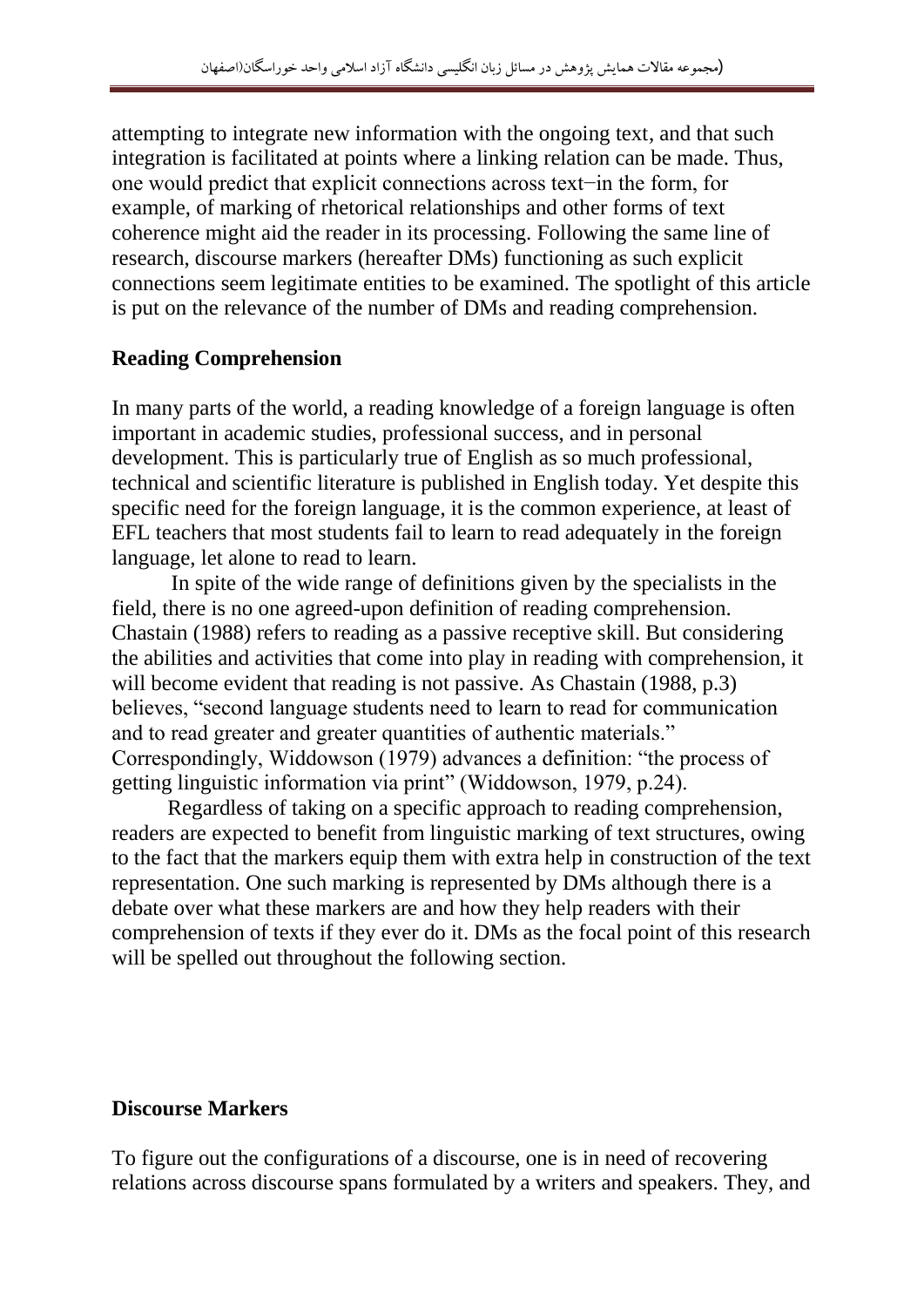attempting to integrate new information with the ongoing text, and that such integration is facilitated at points where a linking relation can be made. Thus, one would predict that explicit connections across text−in the form, for example, of marking of rhetorical relationships and other forms of text coherence might aid the reader in its processing. Following the same line of research, discourse markers (hereafter DMs) functioning as such explicit connections seem legitimate entities to be examined. The spotlight of this article is put on the relevance of the number of DMs and reading comprehension.

### **Reading Comprehension**

In many parts of the world, a reading knowledge of a foreign language is often important in academic studies, professional success, and in personal development. This is particularly true of English as so much professional, technical and scientific literature is published in English today. Yet despite this specific need for the foreign language, it is the common experience, at least of EFL teachers that most students fail to learn to read adequately in the foreign language, let alone to read to learn.

 In spite of the wide range of definitions given by the specialists in the field, there is no one agreed-upon definition of reading comprehension. Chastain (1988) refers to reading as a passive receptive skill. But considering the abilities and activities that come into play in reading with comprehension, it will become evident that reading is not passive. As Chastain (1988, p.3) believes, "second language students need to learn to read for communication and to read greater and greater quantities of authentic materials." Correspondingly, Widdowson (1979) advances a definition: "the process of getting linguistic information via print" (Widdowson, 1979, p.24).

Regardless of taking on a specific approach to reading comprehension, readers are expected to benefit from linguistic marking of text structures, owing to the fact that the markers equip them with extra help in construction of the text representation. One such marking is represented by DMs although there is a debate over what these markers are and how they help readers with their comprehension of texts if they ever do it. DMs as the focal point of this research will be spelled out throughout the following section.

### **Discourse Markers**

To figure out the configurations of a discourse, one is in need of recovering relations across discourse spans formulated by a writers and speakers. They, and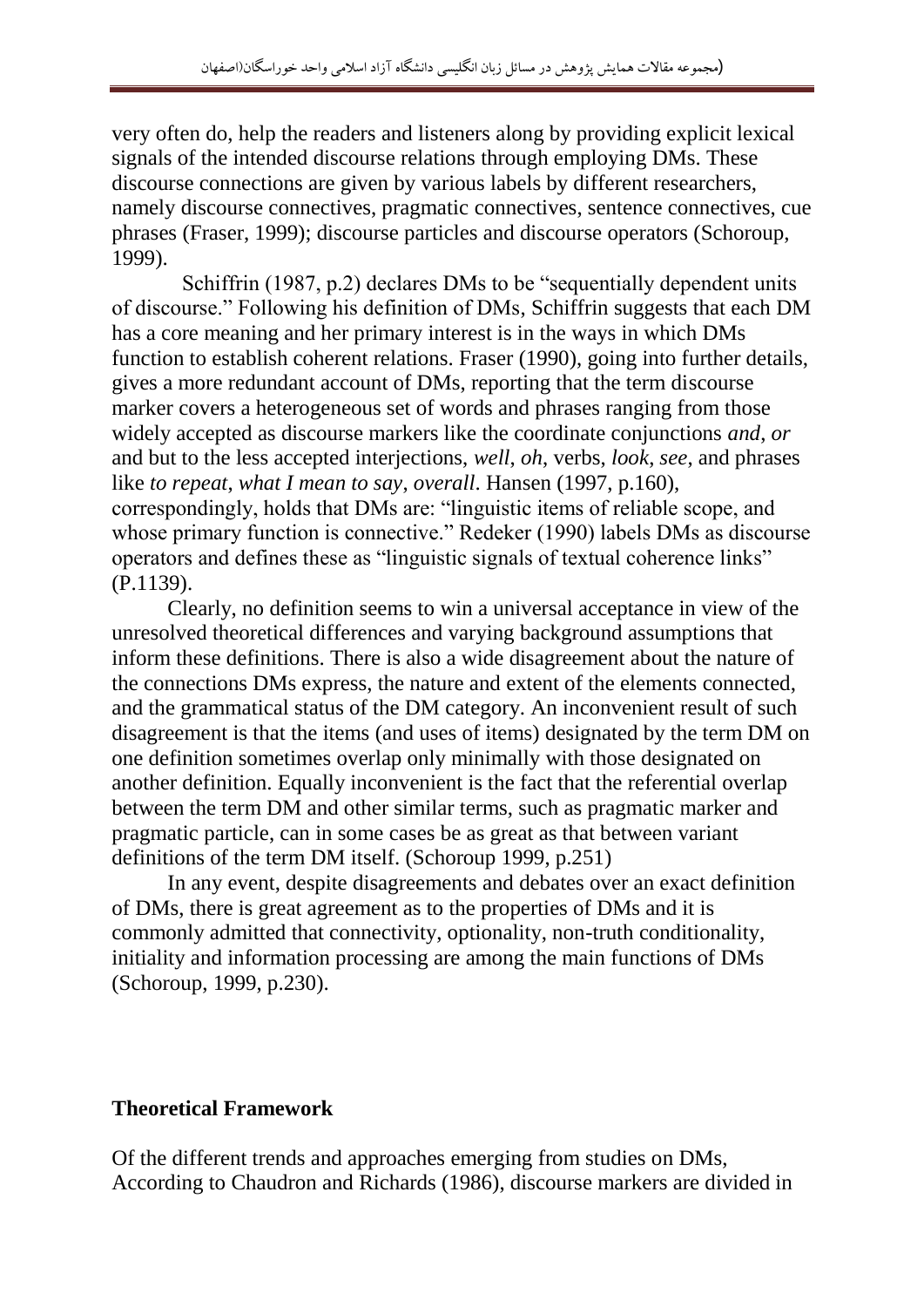very often do, help the readers and listeners along by providing explicit lexical signals of the intended discourse relations through employing DMs. These discourse connections are given by various labels by different researchers, namely discourse connectives, pragmatic connectives, sentence connectives, cue phrases (Fraser, 1999); discourse particles and discourse operators (Schoroup, 1999).

 Schiffrin (1987, p.2) declares DMs to be "sequentially dependent units of discourse." Following his definition of DMs, Schiffrin suggests that each DM has a core meaning and her primary interest is in the ways in which DMs function to establish coherent relations. Fraser (1990), going into further details, gives a more redundant account of DMs, reporting that the term discourse marker covers a heterogeneous set of words and phrases ranging from those widely accepted as discourse markers like the coordinate conjunctions *and*, *or* and but to the less accepted interjections, *well*, *oh*, verbs, *look*, *see*, and phrases like *to repeat, what I mean to say, overall*. Hansen (1997, p.160), correspondingly, holds that DMs are: "linguistic items of reliable scope, and whose primary function is connective." Redeker (1990) labels DMs as discourse operators and defines these as "linguistic signals of textual coherence links" (P.1139).

Clearly, no definition seems to win a universal acceptance in view of the unresolved theoretical differences and varying background assumptions that inform these definitions. There is also a wide disagreement about the nature of the connections DMs express, the nature and extent of the elements connected, and the grammatical status of the DM category. An inconvenient result of such disagreement is that the items (and uses of items) designated by the term DM on one definition sometimes overlap only minimally with those designated on another definition. Equally inconvenient is the fact that the referential overlap between the term DM and other similar terms, such as pragmatic marker and pragmatic particle, can in some cases be as great as that between variant definitions of the term DM itself. (Schoroup 1999, p.251)

In any event, despite disagreements and debates over an exact definition of DMs, there is great agreement as to the properties of DMs and it is commonly admitted that connectivity, optionality, non-truth conditionality, initiality and information processing are among the main functions of DMs (Schoroup, 1999, p.230).

#### **Theoretical Framework**

Of the different trends and approaches emerging from studies on DMs, According to Chaudron and Richards (1986), discourse markers are divided in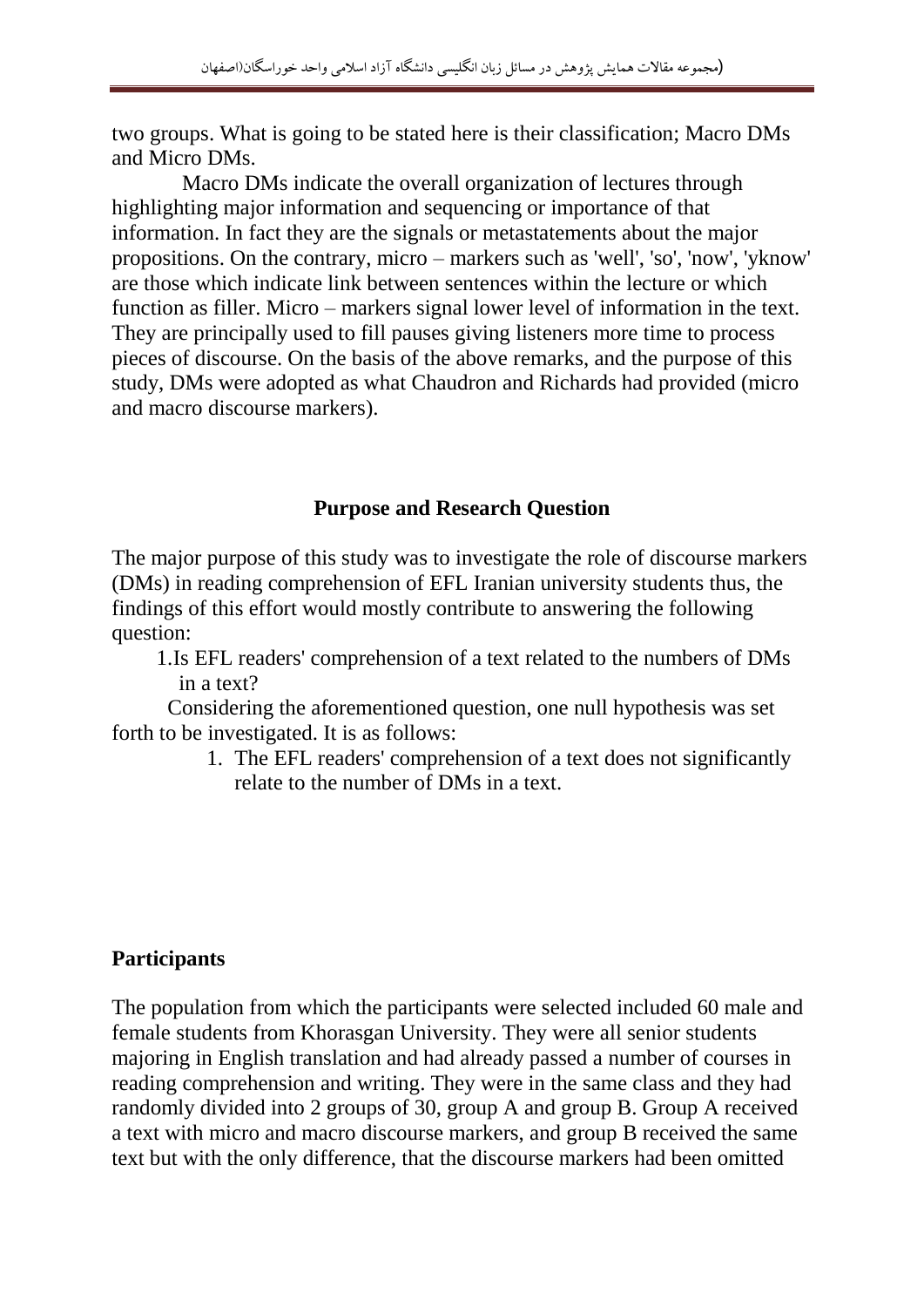two groups. What is going to be stated here is their classification; Macro DMs and Micro DMs.

 Macro DMs indicate the overall organization of lectures through highlighting major information and sequencing or importance of that information. In fact they are the signals or metastatements about the major propositions. On the contrary, micro – markers such as 'well', 'so', 'now', 'yknow' are those which indicate link between sentences within the lecture or which function as filler. Micro – markers signal lower level of information in the text. They are principally used to fill pauses giving listeners more time to process pieces of discourse. On the basis of the above remarks, and the purpose of this study, DMs were adopted as what Chaudron and Richards had provided (micro and macro discourse markers).

#### **Purpose and Research Question**

The major purpose of this study was to investigate the role of discourse markers (DMs) in reading comprehension of EFL Iranian university students thus, the findings of this effort would mostly contribute to answering the following question:

1.Is EFL readers' comprehension of a text related to the numbers of DMs in a text?

Considering the aforementioned question, one null hypothesis was set forth to be investigated. It is as follows:

> 1. The EFL readers' comprehension of a text does not significantly relate to the number of DMs in a text.

#### **Participants**

The population from which the participants were selected included 60 male and female students from Khorasgan University. They were all senior students majoring in English translation and had already passed a number of courses in reading comprehension and writing. They were in the same class and they had randomly divided into 2 groups of 30, group A and group B. Group A received a text with micro and macro discourse markers, and group B received the same text but with the only difference, that the discourse markers had been omitted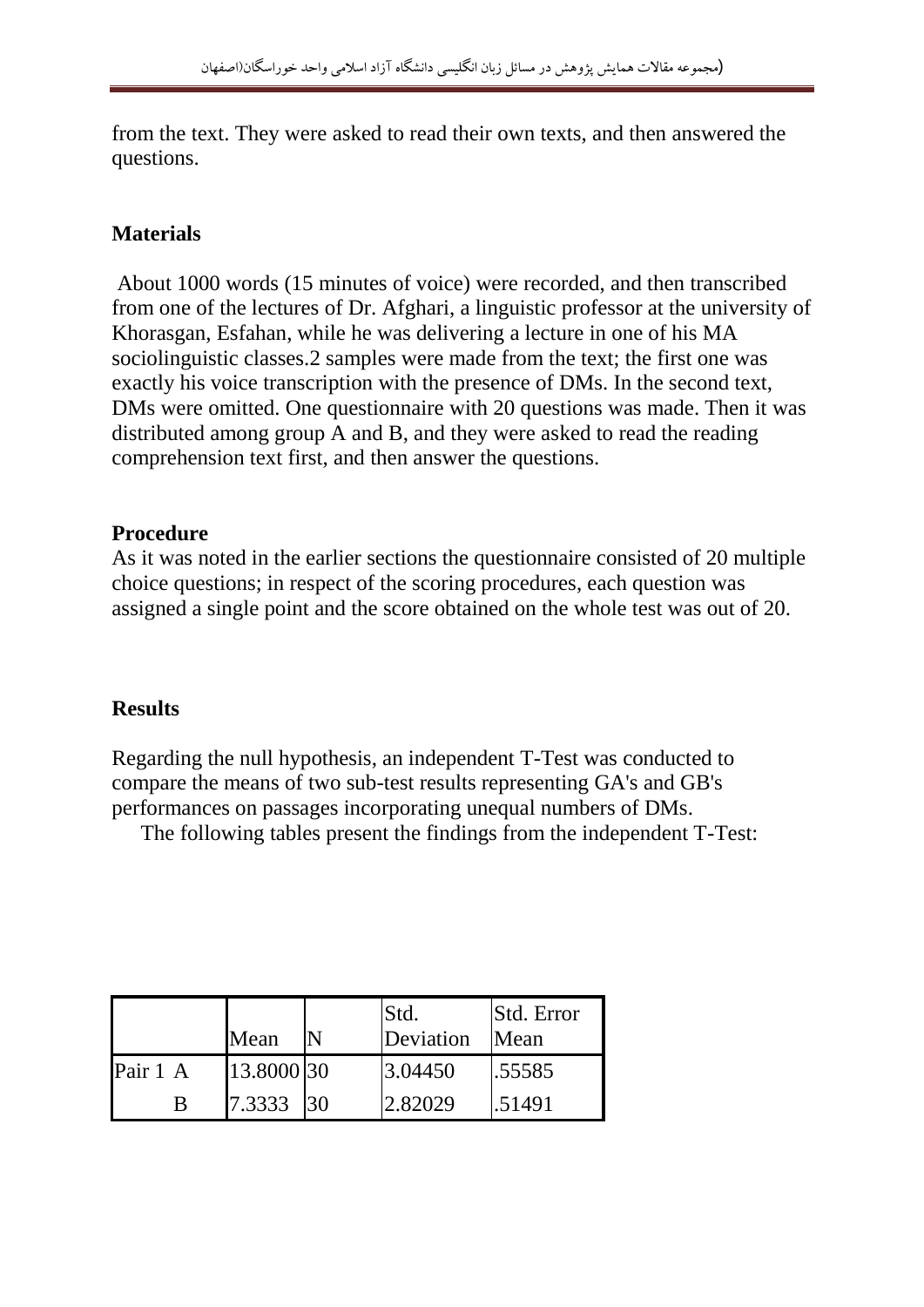from the text. They were asked to read their own texts, and then answered the questions.

# **Materials**

About 1000 words (15 minutes of voice) were recorded, and then transcribed from one of the lectures of Dr. Afghari, a linguistic professor at the university of Khorasgan, Esfahan, while he was delivering a lecture in one of his MA sociolinguistic classes.2 samples were made from the text; the first one was exactly his voice transcription with the presence of DMs. In the second text, DMs were omitted. One questionnaire with 20 questions was made. Then it was distributed among group A and B, and they were asked to read the reading comprehension text first, and then answer the questions.

### **Procedure**

As it was noted in the earlier sections the questionnaire consisted of 20 multiple choice questions; in respect of the scoring procedures, each question was assigned a single point and the score obtained on the whole test was out of 20.

# **Results**

Regarding the null hypothesis, an independent T-Test was conducted to compare the means of two sub-test results representing GA's and GB's performances on passages incorporating unequal numbers of DMs.

The following tables present the findings from the independent T-Test:

|          | Mean       | Std.<br>Deviation | <b>Std.</b> Error<br>Mean |
|----------|------------|-------------------|---------------------------|
| Pair 1 A | 13.8000 30 | 3.04450           | .55585                    |
| B        | 7.3333 30  | 2.82029           | .51491                    |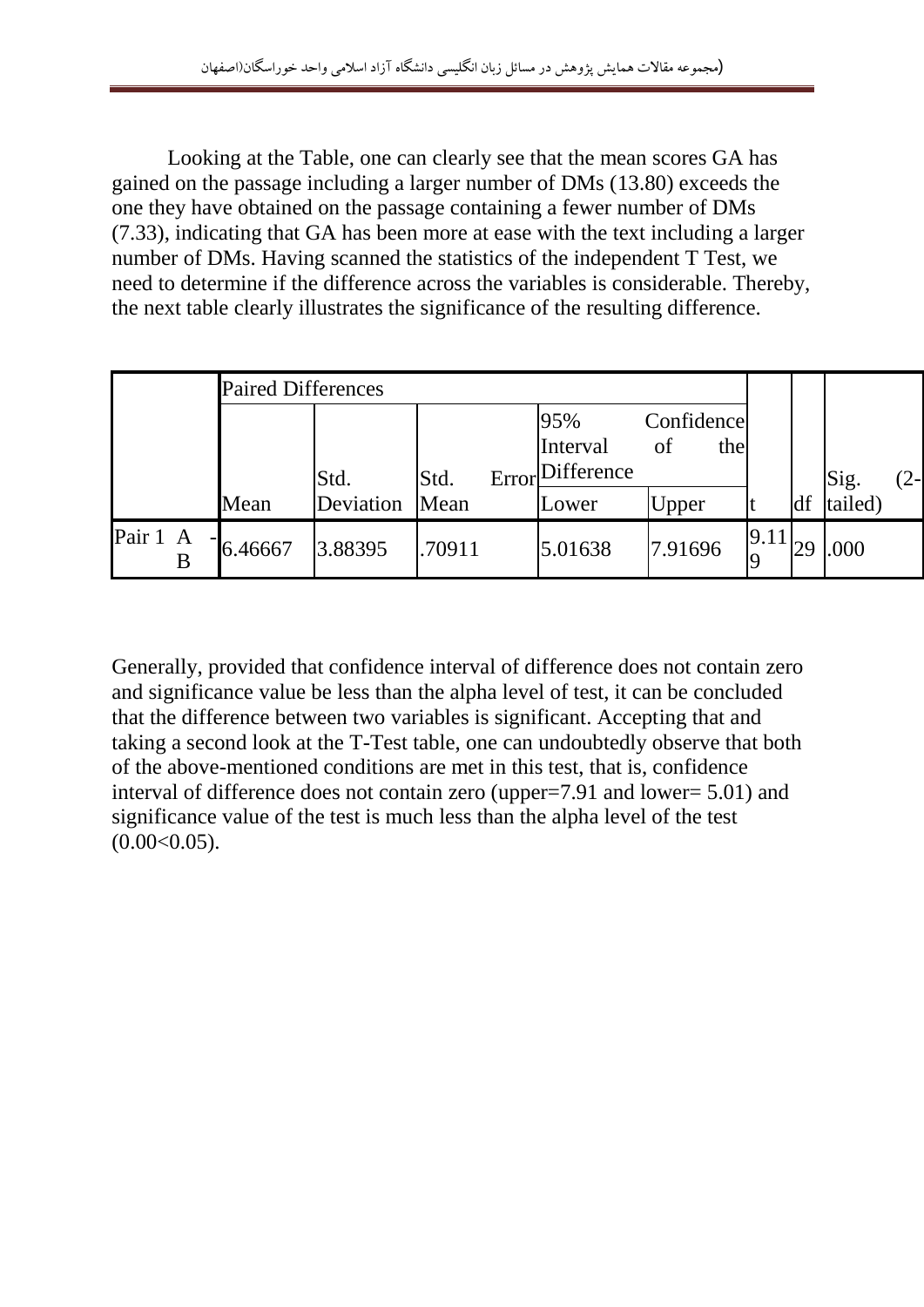Looking at the Table, one can clearly see that the mean scores GA has gained on the passage including a larger number of DMs (13.80) exceeds the one they have obtained on the passage containing a fewer number of DMs (7.33), indicating that GA has been more at ease with the text including a larger number of DMs. Having scanned the statistics of the independent T Test, we need to determine if the difference across the variables is considerable. Thereby, the next table clearly illustrates the significance of the resulting difference.

|               | <b>Paired Differences</b> |           |               |                               |                         |                  |    |         |     |
|---------------|---------------------------|-----------|---------------|-------------------------------|-------------------------|------------------|----|---------|-----|
|               |                           | Std.      | Std.<br>Error | 95%<br>Interval<br>Difference | Confidence<br>the<br>of |                  |    | Sig.    | 2-l |
|               | Mean                      | Deviation | Mean          | Lower                         | <b>Upper</b>            | It               | df | tailed) |     |
| Pair 1 A<br>B | $-6.46667$                | 3.88395   | .70911        | 5.01638                       | 7.91696                 | 9.11<br><b>O</b> | 29 | .000    |     |

Generally, provided that confidence interval of difference does not contain zero and significance value be less than the alpha level of test, it can be concluded that the difference between two variables is significant. Accepting that and taking a second look at the T-Test table, one can undoubtedly observe that both of the above-mentioned conditions are met in this test, that is, confidence interval of difference does not contain zero (upper=7.91 and lower= 5.01) and significance value of the test is much less than the alpha level of the test  $(0.00<0.05)$ .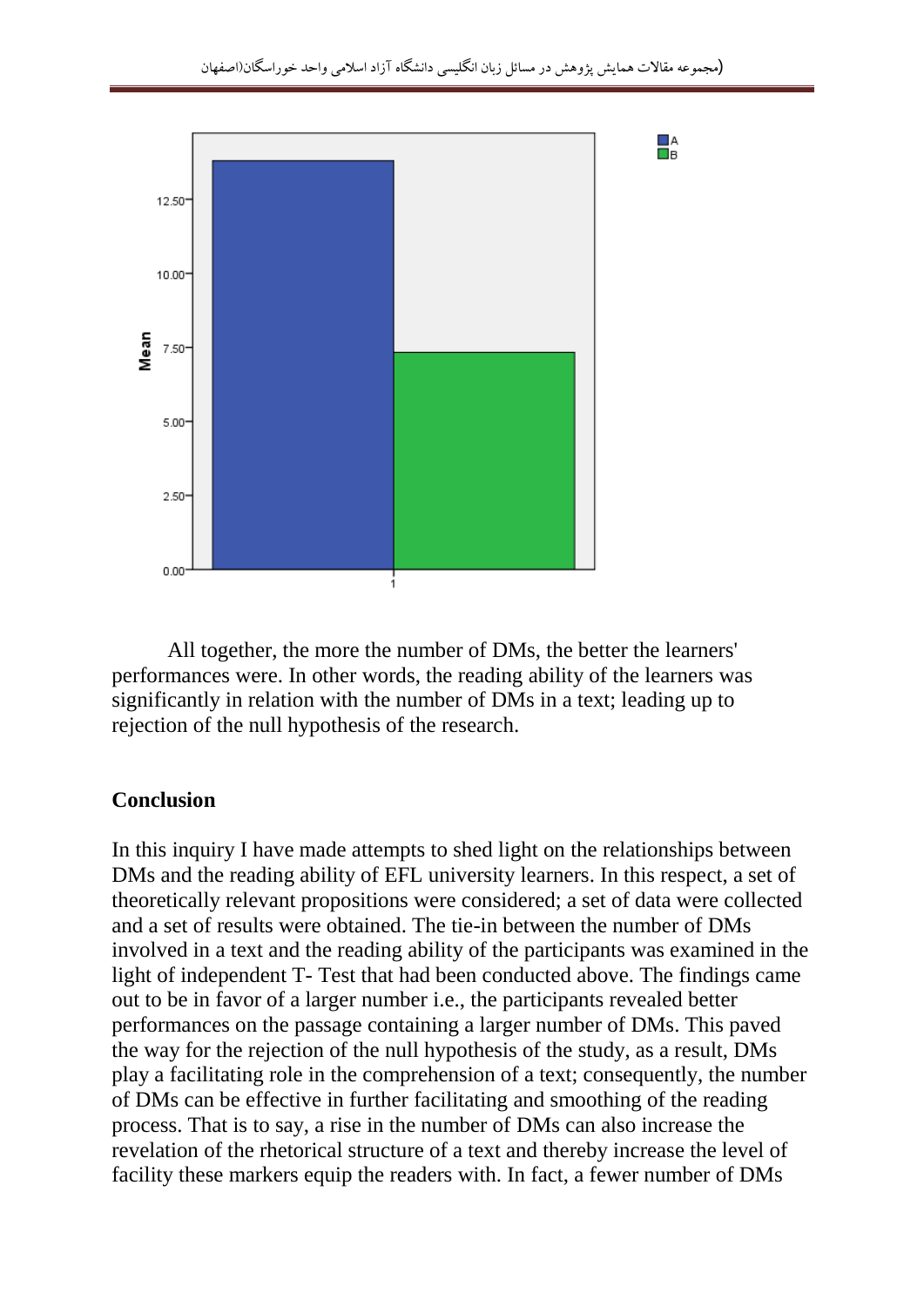

All together, the more the number of DMs, the better the learners' performances were. In other words, the reading ability of the learners was significantly in relation with the number of DMs in a text; leading up to rejection of the null hypothesis of the research.

#### **Conclusion**

In this inquiry I have made attempts to shed light on the relationships between DMs and the reading ability of EFL university learners. In this respect, a set of theoretically relevant propositions were considered; a set of data were collected and a set of results were obtained. The tie-in between the number of DMs involved in a text and the reading ability of the participants was examined in the light of independent T- Test that had been conducted above. The findings came out to be in favor of a larger number i.e., the participants revealed better performances on the passage containing a larger number of DMs. This paved the way for the rejection of the null hypothesis of the study, as a result, DMs play a facilitating role in the comprehension of a text; consequently, the number of DMs can be effective in further facilitating and smoothing of the reading process. That is to say, a rise in the number of DMs can also increase the revelation of the rhetorical structure of a text and thereby increase the level of facility these markers equip the readers with. In fact, a fewer number of DMs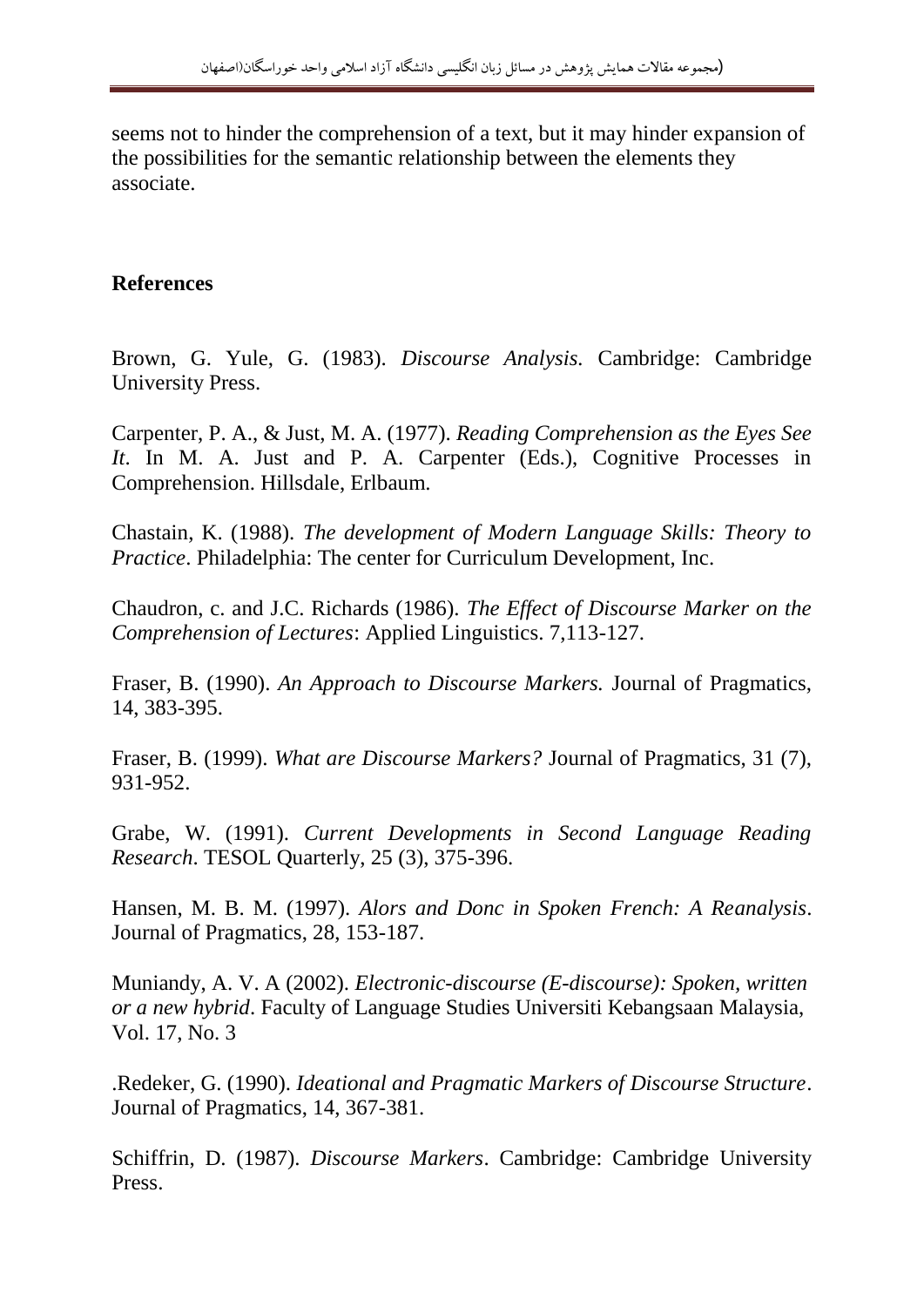seems not to hinder the comprehension of a text, but it may hinder expansion of the possibilities for the semantic relationship between the elements they associate.

### **References**

Brown, G. Yule, G. (1983). *Discourse Analysis.* Cambridge: Cambridge University Press.

Carpenter, P. A., & Just, M. A. (1977). *Reading Comprehension as the Eyes See It*. In M. A. Just and P. A. Carpenter (Eds.), Cognitive Processes in Comprehension. Hillsdale, Erlbaum.

Chastain, K. (1988). *The development of Modern Language Skills: Theory to Practice*. Philadelphia: The center for Curriculum Development, Inc.

Chaudron, c. and J.C. Richards (1986). *The Effect of Discourse Marker on the Comprehension of Lectures*: Applied Linguistics. 7,113-127.

Fraser, B. (1990). *An Approach to Discourse Markers.* Journal of Pragmatics, 14, 383-395.

Fraser, B. (1999). *What are Discourse Markers?* Journal of Pragmatics, 31 (7), 931-952.

Grabe, W. (1991). *Current Developments in Second Language Reading Research*. TESOL Quarterly, 25 (3), 375-396.

Hansen, M. B. M. (1997). *Alors and Donc in Spoken French: A Reanalysis*. Journal of Pragmatics, 28, 153-187.

Muniandy, A. V. A (2002). *Electronic-discourse (E-discourse): Spoken, written or a new hybrid*. Faculty of Language Studies Universiti Kebangsaan Malaysia, Vol. 17, No. 3

.Redeker, G. (1990). *Ideational and Pragmatic Markers of Discourse Structure*. Journal of Pragmatics, 14, 367-381.

Schiffrin, D. (1987). *Discourse Markers*. Cambridge: Cambridge University Press.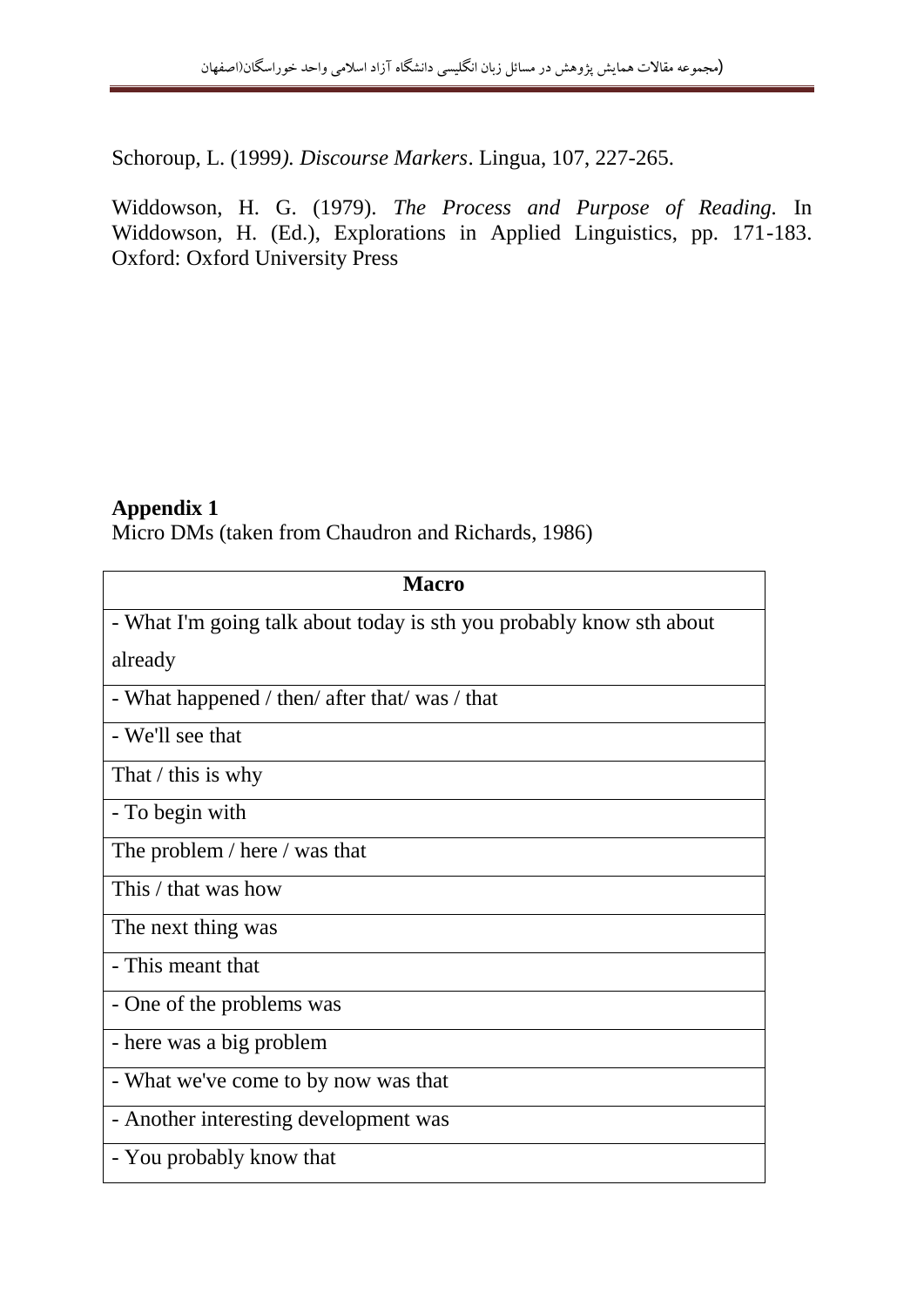Schoroup, L. (1999*). Discourse Markers*. Lingua, 107, 227-265.

Widdowson, H. G. (1979). *The Process and Purpose of Reading.* In Widdowson, H. (Ed.), Explorations in Applied Linguistics, pp. 171-183. Oxford: Oxford University Press

#### **Appendix 1**

Micro DMs (taken from Chaudron and Richards, 1986)

| <b>Macro</b>                                                         |  |  |  |  |
|----------------------------------------------------------------------|--|--|--|--|
| - What I'm going talk about today is sth you probably know sth about |  |  |  |  |
| already                                                              |  |  |  |  |
| - What happened / then/ after that/ was / that                       |  |  |  |  |
| - We'll see that                                                     |  |  |  |  |
| That $\ell$ this is why                                              |  |  |  |  |
| - To begin with                                                      |  |  |  |  |
| The problem / here / was that                                        |  |  |  |  |
| This / that was how                                                  |  |  |  |  |
| The next thing was                                                   |  |  |  |  |
| - This meant that                                                    |  |  |  |  |
| - One of the problems was                                            |  |  |  |  |
| - here was a big problem                                             |  |  |  |  |
| - What we've come to by now was that                                 |  |  |  |  |
| - Another interesting development was                                |  |  |  |  |
| - You probably know that                                             |  |  |  |  |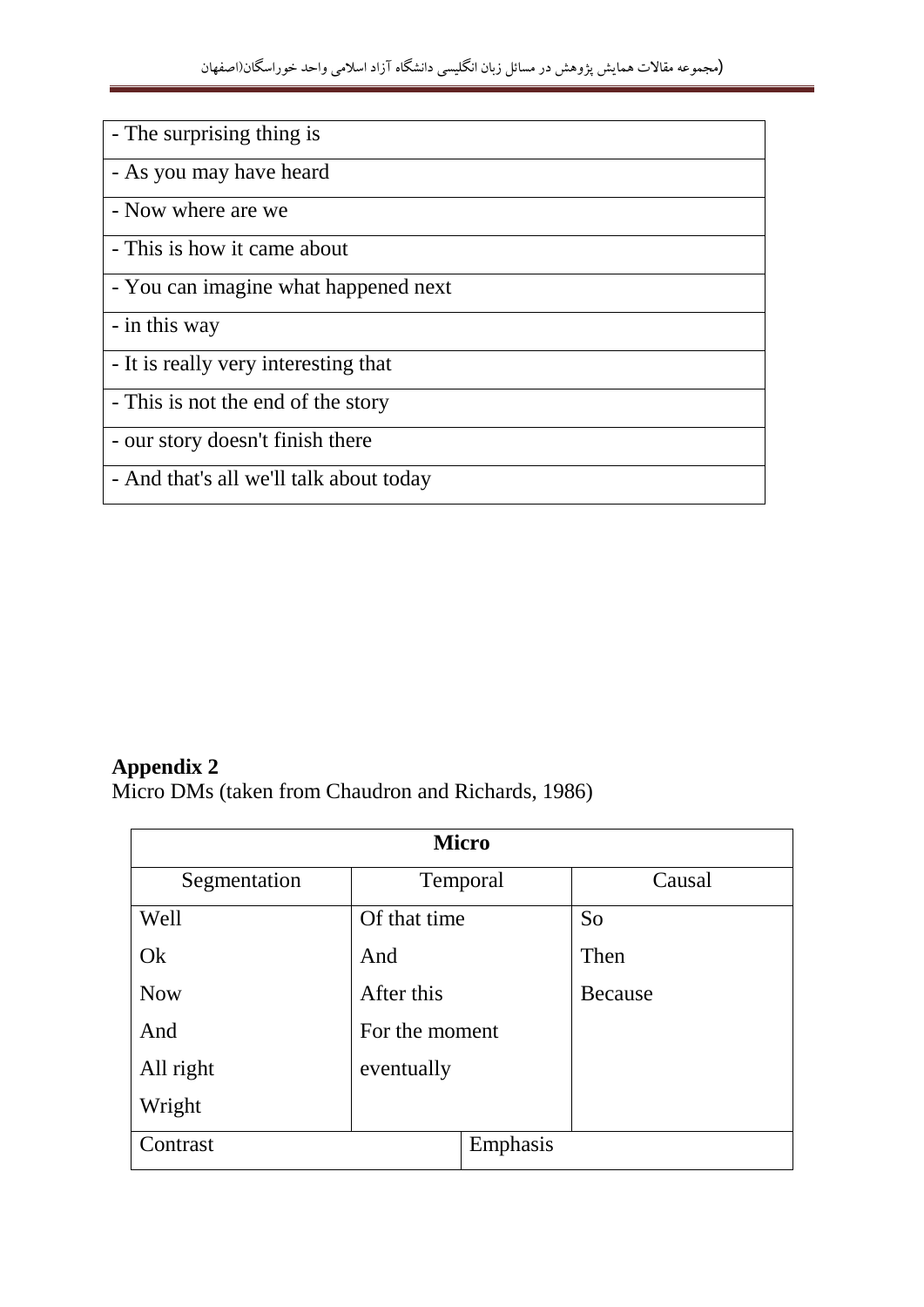| - The surprising thing is               |
|-----------------------------------------|
| - As you may have heard                 |
| - Now where are we                      |
| - This is how it came about             |
| - You can imagine what happened next    |
| - in this way                           |
| - It is really very interesting that    |
| - This is not the end of the story      |
| - our story doesn't finish there        |
| - And that's all we'll talk about today |

# **Appendix 2**

Micro DMs (taken from Chaudron and Richards, 1986)

| <b>Micro</b> |                |          |                |  |
|--------------|----------------|----------|----------------|--|
| Segmentation | Temporal       |          | Causal         |  |
| Well         | Of that time   |          | So             |  |
| Ok           | And            |          | Then           |  |
| <b>Now</b>   | After this     |          | <b>Because</b> |  |
| And          | For the moment |          |                |  |
| All right    | eventually     |          |                |  |
| Wright       |                |          |                |  |
| Contrast     |                | Emphasis |                |  |